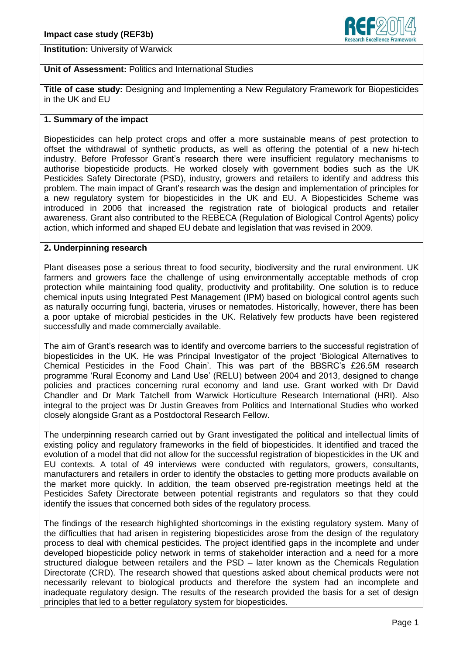

**Institution:** University of Warwick

# **Unit of Assessment:** Politics and International Studies

**Title of case study:** Designing and Implementing a New Regulatory Framework for Biopesticides in the UK and EU

## **1. Summary of the impact**

Biopesticides can help protect crops and offer a more sustainable means of pest protection to offset the withdrawal of synthetic products, as well as offering the potential of a new hi-tech industry. Before Professor Grant's research there were insufficient regulatory mechanisms to authorise biopesticide products. He worked closely with government bodies such as the UK Pesticides Safety Directorate (PSD), industry, growers and retailers to identify and address this problem. The main impact of Grant's research was the design and implementation of principles for a new regulatory system for biopesticides in the UK and EU. A Biopesticides Scheme was introduced in 2006 that increased the registration rate of biological products and retailer awareness. Grant also contributed to the REBECA (Regulation of Biological Control Agents) policy action, which informed and shaped EU debate and legislation that was revised in 2009.

## **2. Underpinning research**

Plant diseases pose a serious threat to food security, biodiversity and the rural environment. UK farmers and growers face the challenge of using environmentally acceptable methods of crop protection while maintaining food quality, productivity and profitability. One solution is to reduce chemical inputs using Integrated Pest Management (IPM) based on biological control agents such as naturally occurring fungi, bacteria, viruses or nematodes. Historically, however, there has been a poor uptake of microbial pesticides in the UK. Relatively few products have been registered successfully and made commercially available.

The aim of Grant's research was to identify and overcome barriers to the successful registration of biopesticides in the UK. He was Principal Investigator of the project 'Biological Alternatives to Chemical Pesticides in the Food Chain'. This was part of the BBSRC's £26.5M research programme 'Rural Economy and Land Use' (RELU) between 2004 and 2013, designed to change policies and practices concerning rural economy and land use. Grant worked with Dr David Chandler and Dr Mark Tatchell from Warwick Horticulture Research International (HRI). Also integral to the project was Dr Justin Greaves from Politics and International Studies who worked closely alongside Grant as a Postdoctoral Research Fellow.

The underpinning research carried out by Grant investigated the political and intellectual limits of existing policy and regulatory frameworks in the field of biopesticides. It identified and traced the evolution of a model that did not allow for the successful registration of biopesticides in the UK and EU contexts. A total of 49 interviews were conducted with regulators, growers, consultants, manufacturers and retailers in order to identify the obstacles to getting more products available on the market more quickly. In addition, the team observed pre-registration meetings held at the Pesticides Safety Directorate between potential registrants and regulators so that they could identify the issues that concerned both sides of the regulatory process.

The findings of the research highlighted shortcomings in the existing regulatory system. Many of the difficulties that had arisen in registering biopesticides arose from the design of the regulatory process to deal with chemical pesticides. The project identified gaps in the incomplete and under developed biopesticide policy network in terms of stakeholder interaction and a need for a more structured dialogue between retailers and the PSD – later known as the Chemicals Regulation Directorate (CRD). The research showed that questions asked about chemical products were not necessarily relevant to biological products and therefore the system had an incomplete and inadequate regulatory design. The results of the research provided the basis for a set of design principles that led to a better regulatory system for biopesticides.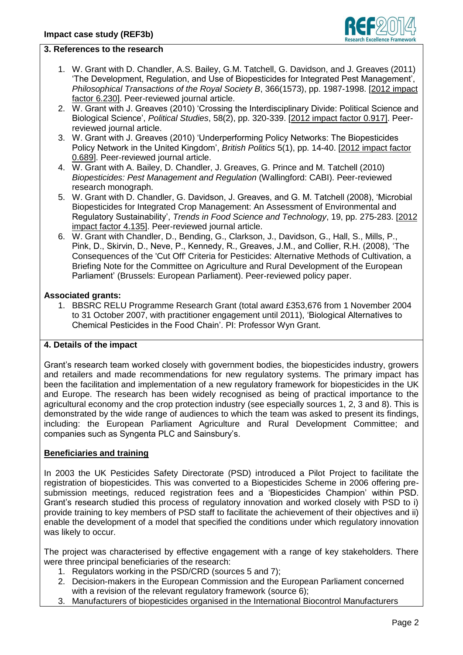

#### **3. References to the research**

- 1. W. Grant with D. Chandler, A.S. Bailey, G.M. Tatchell, G. Davidson, and J. Greaves (2011) 'The Development, Regulation, and Use of Biopesticides for Integrated Pest Management', *Philosophical Transactions of the Royal Society B*, 366(1573), pp. 1987-1998. [2012 impact factor 6.230]. Peer-reviewed journal article.
- 2. W. Grant with J. Greaves (2010) 'Crossing the Interdisciplinary Divide: Political Science and Biological Science', *Political Studies*, 58(2), pp. 320-339. [2012 impact factor 0.917]. Peerreviewed journal article.
- 3. W. Grant with J. Greaves (2010) 'Underperforming Policy Networks: The Biopesticides Policy Network in the United Kingdom', *British Politics* 5(1), pp. 14-40. [2012 impact factor 0.689]. Peer-reviewed journal article.
- 4. W. Grant with A. Bailey, D. Chandler, J. Greaves, G. Prince and M. Tatchell (2010) *Biopesticides: Pest Management and Regulation* (Wallingford: CABI). Peer-reviewed research monograph.
- 5. W. Grant with D. Chandler, G. Davidson, J. Greaves, and G. M. Tatchell (2008), 'Microbial Biopesticides for Integrated Crop Management: An Assessment of Environmental and Regulatory Sustainability', *Trends in Food Science and Technology*, 19, pp. 275-283. [2012 impact factor 4.135]. Peer-reviewed journal article.
- 6. W. Grant with Chandler, D., Bending, G., Clarkson, J., Davidson, G., Hall, S., Mills, P., Pink, D., Skirvin, D., Neve, P., Kennedy, R., Greaves, J.M., and Collier, R.H. (2008), 'The Consequences of the 'Cut Off' Criteria for Pesticides: Alternative Methods of Cultivation, a Briefing Note for the Committee on Agriculture and Rural Development of the European Parliament' (Brussels: European Parliament). Peer-reviewed policy paper.

#### **Associated grants:**

1. BBSRC RELU Programme Research Grant (total award £353,676 from 1 November 2004 to 31 October 2007, with practitioner engagement until 2011), 'Biological Alternatives to Chemical Pesticides in the Food Chain'. PI: Professor Wyn Grant.

## **4. Details of the impact**

Grant's research team worked closely with government bodies, the biopesticides industry, growers and retailers and made recommendations for new regulatory systems. The primary impact has been the facilitation and implementation of a new regulatory framework for biopesticides in the UK and Europe. The research has been widely recognised as being of practical importance to the agricultural economy and the crop protection industry (see especially sources 1, 2, 3 and 8). This is demonstrated by the wide range of audiences to which the team was asked to present its findings, including: the European Parliament Agriculture and Rural Development Committee; and companies such as Syngenta PLC and Sainsbury's.

## **Beneficiaries and training**

In 2003 the UK Pesticides Safety Directorate (PSD) introduced a Pilot Project to facilitate the registration of biopesticides. This was converted to a Biopesticides Scheme in 2006 offering presubmission meetings, reduced registration fees and a 'Biopesticides Champion' within PSD. Grant's research studied this process of regulatory innovation and worked closely with PSD to i) provide training to key members of PSD staff to facilitate the achievement of their objectives and ii) enable the development of a model that specified the conditions under which regulatory innovation was likely to occur.

The project was characterised by effective engagement with a range of key stakeholders. There were three principal beneficiaries of the research:

- 1. Regulators working in the PSD/CRD (sources 5 and 7);
- 2. Decision-makers in the European Commission and the European Parliament concerned with a revision of the relevant regulatory framework (source 6);
- 3. Manufacturers of biopesticides organised in the International Biocontrol Manufacturers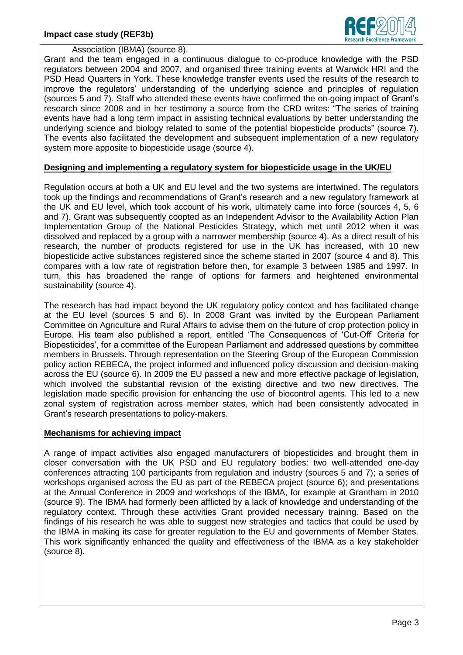

Association (IBMA) (source 8).

Grant and the team engaged in a continuous dialogue to co-produce knowledge with the PSD regulators between 2004 and 2007, and organised three training events at Warwick HRI and the PSD Head Quarters in York. These knowledge transfer events used the results of the research to improve the regulators' understanding of the underlying science and principles of regulation (sources 5 and 7). Staff who attended these events have confirmed the on-going impact of Grant's research since 2008 and in her testimony a source from the CRD writes: "The series of training events have had a long term impact in assisting technical evaluations by better understanding the underlying science and biology related to some of the potential biopesticide products" (source 7). The events also facilitated the development and subsequent implementation of a new regulatory system more apposite to biopesticide usage (source 4).

## **Designing and implementing a regulatory system for biopesticide usage in the UK/EU**

Regulation occurs at both a UK and EU level and the two systems are intertwined. The regulators took up the findings and recommendations of Grant's research and a new regulatory framework at the UK and EU level, which took account of his work, ultimately came into force (sources 4, 5, 6 and 7). Grant was subsequently coopted as an Independent Advisor to the Availability Action Plan Implementation Group of the National Pesticides Strategy, which met until 2012 when it was dissolved and replaced by a group with a narrower membership (source 4). As a direct result of his research, the number of products registered for use in the UK has increased, with 10 new biopesticide active substances registered since the scheme started in 2007 (source 4 and 8). This compares with a low rate of registration before then, for example 3 between 1985 and 1997. In turn, this has broadened the range of options for farmers and heightened environmental sustainability (source 4).

The research has had impact beyond the UK regulatory policy context and has facilitated change at the EU level (sources 5 and 6). In 2008 Grant was invited by the European Parliament Committee on Agriculture and Rural Affairs to advise them on the future of crop protection policy in Europe. His team also published a report, entitled 'The Consequences of 'Cut-Off' Criteria for Biopesticides', for a committee of the European Parliament and addressed questions by committee members in Brussels. Through representation on the Steering Group of the European Commission policy action REBECA, the project informed and influenced policy discussion and decision-making across the EU (source 6). In 2009 the EU passed a new and more effective package of legislation, which involved the substantial revision of the existing directive and two new directives. The legislation made specific provision for enhancing the use of biocontrol agents. This led to a new zonal system of registration across member states, which had been consistently advocated in Grant's research presentations to policy-makers.

#### **Mechanisms for achieving impact**

A range of impact activities also engaged manufacturers of biopesticides and brought them in closer conversation with the UK PSD and EU regulatory bodies: two well-attended one-day conferences attracting 100 participants from regulation and industry (sources 5 and 7); a series of workshops organised across the EU as part of the REBECA project (source 6); and presentations at the Annual Conference in 2009 and workshops of the IBMA, for example at Grantham in 2010 (source 9). The IBMA had formerly been afflicted by a lack of knowledge and understanding of the regulatory context. Through these activities Grant provided necessary training. Based on the findings of his research he was able to suggest new strategies and tactics that could be used by the IBMA in making its case for greater regulation to the EU and governments of Member States. This work significantly enhanced the quality and effectiveness of the IBMA as a key stakeholder (source 8).